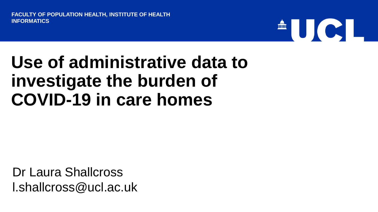**FACULTY OF POPULATION HEALTH, INSTITUTE OF HEALTH INFORMATICS**

# THE RESEARCH

## **Use of administrative data to investigate the burden of COVID-19 in care homes**

Dr Laura Shallcross l.shallcross@ucl.ac.uk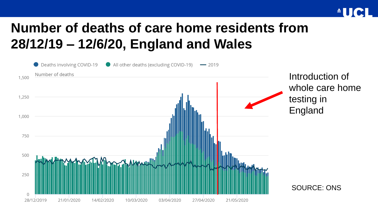

### **Number of deaths of care home residents from 28/12/19 – 12/6/20, England and Wales**

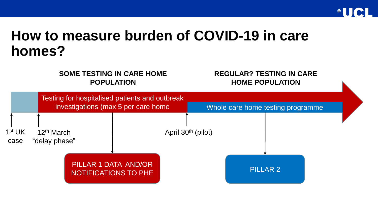

#### **How to measure burden of COVID-19 in care homes?**

#### **SOME TESTING IN CARE HOME POPULATION**

#### **REGULAR? TESTING IN CARE HOME POPULATION**

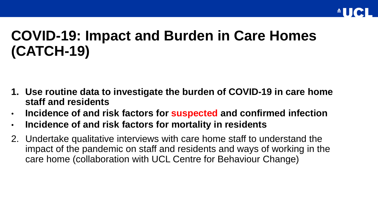

### **COVID-19: Impact and Burden in Care Homes (CATCH-19)**

- **1. Use routine data to investigate the burden of COVID-19 in care home staff and residents**
- **Incidence of and risk factors for suspected and confirmed infection**
- **Incidence of and risk factors for mortality in residents**
- 2. Undertake qualitative interviews with care home staff to understand the impact of the pandemic on staff and residents and ways of working in the care home (collaboration with UCL Centre for Behaviour Change)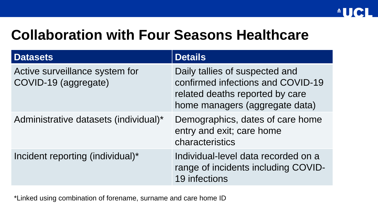#### **Collaboration with Four Seasons Healthcare**

| <b>Datasets</b>                                        | <b>Details</b>                                                                                                                           |
|--------------------------------------------------------|------------------------------------------------------------------------------------------------------------------------------------------|
| Active surveillance system for<br>COVID-19 (aggregate) | Daily tallies of suspected and<br>confirmed infections and COVID-19<br>related deaths reported by care<br>home managers (aggregate data) |
| Administrative datasets (individual)*                  | Demographics, dates of care home<br>entry and exit; care home<br>characteristics                                                         |
| Incident reporting (individual)*                       | Individual-level data recorded on a<br>range of incidents including COVID-<br>19 infections                                              |

\*Linked using combination of forename, surname and care home ID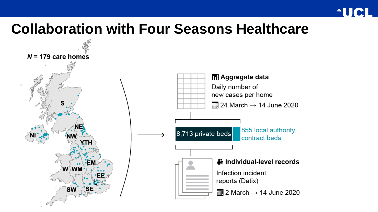

#### **Collaboration with Four Seasons Healthcare**

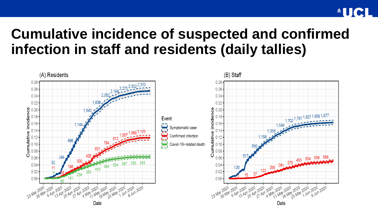#### **Cumulative incidence of suspected and confirmed infection in staff and residents (daily tallies)**

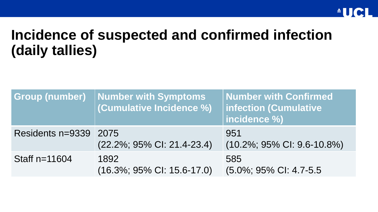### **Incidence of suspected and confirmed infection (daily tallies)**

| <b>Group (number)</b> | <b>Number with Symptoms</b><br>(Cumulative Incidence %) | <b>Number with Confirmed</b><br>infection (Cumulative<br>incidence %) |
|-----------------------|---------------------------------------------------------|-----------------------------------------------------------------------|
| Residents n=9339 2075 | (22.2%; 95% CI: 21.4-23.4)                              | 951<br>$(10.2\%; 95\% \text{ Cl}: 9.6-10.8\%)$                        |
| Staff $n=11604$       | 1892<br>$(16.3\%; 95\% \text{ Cl: } 15.6-17.0)$         | 585<br>(5.0%; 95% CI: 4.7-5.5                                         |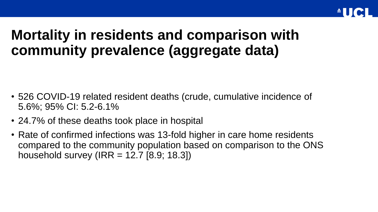#### **Mortality in residents and comparison with community prevalence (aggregate data)**

- 526 COVID-19 related resident deaths (crude, cumulative incidence of 5.6%; 95% CI: 5.2-6.1%
- 24.7% of these deaths took place in hospital
- Rate of confirmed infections was 13-fold higher in care home residents compared to the community population based on comparison to the ONS household survey (IRR =  $12.7$  [8.9; 18.3])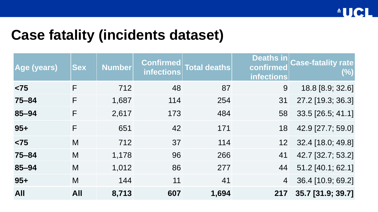#### **Case fatality (incidents dataset)**

| <b>Age (years)</b> | <b>Sex</b> | <b>Number</b> | Confirmed<br><i>infections</i> | <b>Total deaths</b> | Deaths in<br>confirmed<br><b>infections</b> | <b>Case-fatality rate</b><br>$(\%)$ |
|--------------------|------------|---------------|--------------------------------|---------------------|---------------------------------------------|-------------------------------------|
| $<$ 75             | F          | 712           | 48                             | 87                  | 9                                           | 18.8 [8.9; 32.6]                    |
| $75 - 84$          | F          | 1,687         | 114                            | 254                 | 31                                          | 27.2 [19.3; 36.3]                   |
| 85-94              | F          | 2,617         | 173                            | 484                 | 58                                          | 33.5 [26.5; 41.1]                   |
| $95+$              | F          | 651           | 42                             | 171                 | 18                                          | 42.9 [27.7; 59.0]                   |
| $<$ 75             | M          | 712           | 37                             | 114                 | 12 <sup>7</sup>                             | 32.4 [18.0; 49.8]                   |
| $75 - 84$          | M          | 1,178         | 96                             | 266                 | 41                                          | 42.7 [32.7; 53.2]                   |
| 85-94              | M          | 1,012         | 86                             | 277                 | 44                                          | 51.2 [40.1; 62.1]                   |
| $95+$              | M          | 144           | 11                             | 41                  | $\overline{4}$                              | 36.4 [10.9; 69.2]                   |
| <b>All</b>         | <b>All</b> | 8,713         | 607                            | 1,694               | 217                                         | 35.7 [31.9; 39.7]                   |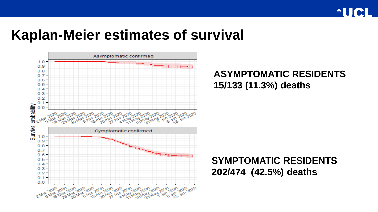

#### **Kaplan-Meier estimates of survival**



#### **ASYMPTOMATIC RESIDENTS 15/133 (11.3%) deaths**

#### **SYMPTOMATIC RESIDENTS 202/474 (42.5%) deaths**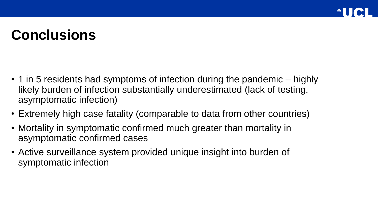### **Conclusions**

- 1 in 5 residents had symptoms of infection during the pandemic highly likely burden of infection substantially underestimated (lack of testing, asymptomatic infection)
- Extremely high case fatality (comparable to data from other countries)
- Mortality in symptomatic confirmed much greater than mortality in asymptomatic confirmed cases
- Active surveillance system provided unique insight into burden of symptomatic infection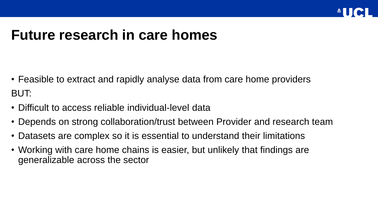

#### **Future research in care homes**

- Feasible to extract and rapidly analyse data from care home providers BUT:
- Difficult to access reliable individual-level data
- Depends on strong collaboration/trust between Provider and research team
- Datasets are complex so it is essential to understand their limitations
- Working with care home chains is easier, but unlikely that findings are generalizable across the sector